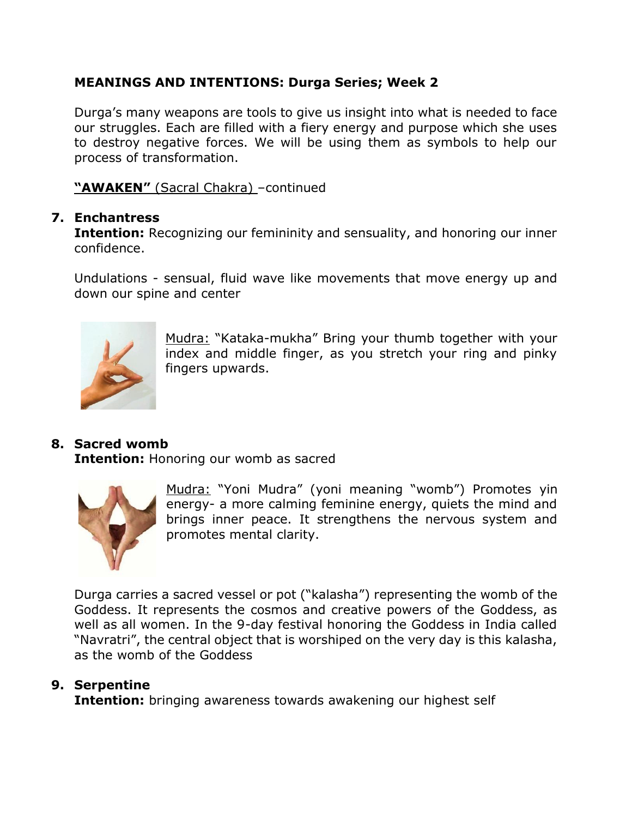### **MEANINGS AND INTENTIONS: Durga Series; Week 2**

Durga's many weapons are tools to give us insight into what is needed to face our struggles. Each are filled with a fiery energy and purpose which she uses to destroy negative forces. We will be using them as symbols to help our process of transformation.

**"AWAKEN"** (Sacral Chakra) –continued

#### **7. Enchantress**

**Intention:** Recognizing our femininity and sensuality, and honoring our inner confidence.

Undulations - sensual, fluid wave like movements that move energy up and down our spine and center



Mudra: "Kataka-mukha" Bring your thumb together with your index and middle finger, as you stretch your ring and pinky fingers upwards.

### **8. Sacred womb**

**Intention:** Honoring our womb as sacred



Mudra: "Yoni Mudra" (yoni meaning "womb") Promotes yin energy- a more calming feminine energy, quiets the mind and brings inner peace. It strengthens the nervous system and promotes mental clarity.

Durga carries a sacred vessel or pot ("kalasha") representing the womb of the Goddess. It represents the cosmos and creative powers of the Goddess, as well as all women. In the 9-day festival honoring the Goddess in India called "Navratri", the central object that is worshiped on the very day is this kalasha, as the womb of the Goddess

#### **9. Serpentine**

**Intention:** bringing awareness towards awakening our highest self